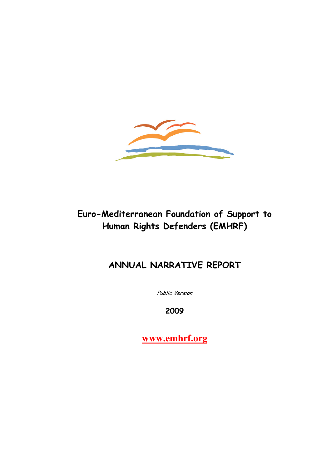

# Euro-Mediterranean Foundation of Support to Human Rights Defenders (EMHRF)

# ANNUAL NARRATIVE REPORT

Public Version

2009

**www.emhrf.org**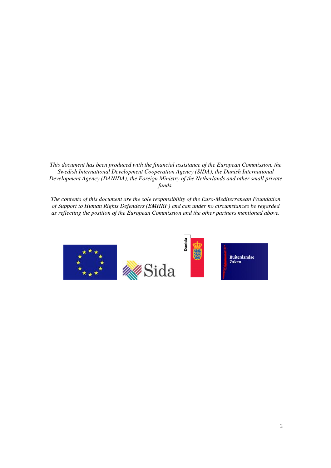*This document has been produced with the financial assistance of the European Commission, the Swedish International Development Cooperation Agency (SIDA), the Danish International Development Agency (DANIDA), the Foreign Ministry of the Netherlands and other small private funds.* 

*The contents of this document are the sole responsibility of the Euro-Mediterranean Foundation of Support to Human Rights Defenders (EMHRF) and can under no circumstances be regarded as reflecting the position of the European Commission and the other partners mentioned above.* 

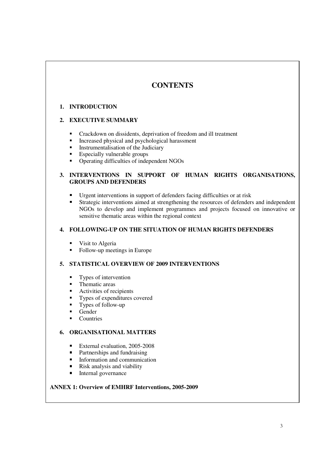# **CONTENTS**

### **1. INTRODUCTION**

### **2. EXECUTIVE SUMMARY**

- Crackdown on dissidents, deprivation of freedom and ill treatment<br>• Increased physical and psychological harassment
- Increased physical and psychological harassment
- **Instrumentalisation of the Judiciary**
- **Especially vulnerable groups**
- Operating difficulties of independent NGOs

### **3. INTERVENTIONS IN SUPPORT OF HUMAN RIGHTS ORGANISATIONS, GROUPS AND DEFENDERS**

- Urgent interventions in support of defenders facing difficulties or at risk
- Strategic interventions aimed at strengthening the resources of defenders and independent NGOs to develop and implement programmes and projects focused on innovative or sensitive thematic areas within the regional context

### **4. FOLLOWING-UP ON THE SITUATION OF HUMAN RIGHTS DEFENDERS**

- **•** Visit to Algeria
- Follow-up meetings in Europe

### **5. STATISTICAL OVERVIEW OF 2009 INTERVENTIONS**

- **Types of intervention**
- **•** Thematic areas
- Activities of recipients
- Types of expenditures covered
- **Types of follow-up**
- Gender
- **Countries**

### **6. ORGANISATIONAL MATTERS**

- External evaluation,  $2005-2008$ <br>Partnerships and fundraising
- Partnerships and fundraising
- **Information and communication**
- Risk analysis and viability
- **Internal governance**

# ANNEX 1: Overview of EMHRF Interventions, 2005-2009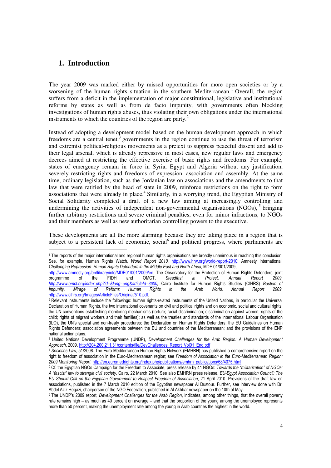### **1. Introduction**

The year 2009 was marked either by missed opportunities for more open societies or by a worsening of the human rights situation in the southern Mediterranean.<sup>1</sup> Overall, the region suffers from a deficit in the implementation of major constitutional, legislative and institutional reforms by states as well as from de facto impunity, with governments often blocking investigations of human rights abuses, thus violating their own obligations under the international instruments to which the countries of the region are party.<sup>2</sup>

Instead of adopting a development model based on the human development approach in which freedoms are a central tenet, $3$  governments in the region continue to use the threat of terrorism and extremist political-religious movements as a pretext to suppress peaceful dissent and add to their legal arsenal, which is already repressive in most cases, new regular laws and emergency decrees aimed at restricting the effective exercise of basic rights and freedoms. For example, states of emergency remain in force in Syria, Egypt and Algeria without any justification, severely restricting rights and freedoms of expression, association and assembly. At the same time, ordinary legislation, such as the Jordanian law on associations and the amendments to that law that were ratified by the head of state in 2009, reinforce restrictions on the right to form associations that were already in place.<sup>4</sup> Similarly, in a worrying trend, the Egyptian Ministry of Social Solidarity completed a draft of a new law aiming at increasingly controlling and undermining the activities of independent non-governmental organisations  $(NGOS)$ ,  $5$  bringing further arbitrary restrictions and severe criminal penalties, even for minor infractions, to NGOs and their members as well as new authoritarian controlling powers to the executive.

These developments are all the more alarming because they are taking place in a region that is subject to a persistent lack of economic, social<sup>6</sup> and political progress, where parliaments are

<sup>-</sup>1 The reports of the major international and regional human rights organisations are broadly unanimous in reaching this conclusion. See, for example, Human Rights Watch, World Report 2010, http://www.hrw.org/world-report-2010; Amnesty International, Challenging Repression: Human Rights Defenders in the Middle East and North Africa, MDE 01/001/2009,

http://www.amnesty.org/en/library/info/MDE01/001/2009/en; The Observatory for the Protection of Human Rights Defenders, joint programme of the FIDH and OMCT, Steadfast in Protest. Annual Report 2009. programme of the FIDH and OMCT, Steadfast in Protest, Annual Report 2009, http://www.omct.org/index.php?id=&lang=eng&articleId=8600; Cairo Institute for Human Rights Studies (CIHRS) Bastion of<br>Impunity, Mirage of Reform: Human Rights in the Arab World, Annual Report 2009, Impunity, Mirage of Reform: Human Rights in the Arab World, Annual Report 2009, http://www.cihrs.org/Images/ArticleFiles/Original/510.pdf.

<sup>2</sup> Relevant instruments include the followings: human rights-related instruments of the United Nations, in particular the Universal Declaration of Human Rights, the two international covenants on civil and political rights and on economic, social and cultural rights; the UN conventions establishing monitoring mechanisms (torture; racial discrimination; discrimination against women; rights of the child; rights of migrant workers and their families); as well as the treaties and standards of the International Labour Organisation (ILO), the UN's special and non-treaty procedures; the Declaration on Human Rights Defenders; the EU Guidelines on Human Rights Defenders; association agreements between the EU and countries of the Mediterranean; and the provisions of the ENP national action plans.

<sup>&</sup>lt;sup>3</sup> United Nations Development Programme (UNDP), Development Challenges for the Arab Region: A Human Development Approach, 2009, http://204.200.211.31/contents/file/DevChallenges\_Report\_Vol01\_Eng.pdf

<sup>&</sup>lt;sup>4</sup> Societies Law, 51/2008. The Euro-Mediterranean Human Rights Network (EMHRN) has published a comprehensive report on the right to freedom of association in the Euro-Mediterranean region; see Freedom of Association in the Euro-Mediterranean Region: 2009 Monitoring Report, http://en.euromedrights.org/index.php/publications/emhrn\_publications/68/4075.html

 $^5$  Cf. the Egyptian NGOs Campaign for the Freedom to Associate, press release by 41 NGOs: *Towards the "militarization" of NGOs:* A "fascist" law to strangle civil society, Cairo, 22 March 2010. See also EMHRN press release, EU-Egypt Association Council: The EU Should Call on the Egyptian Government to Respect Freedom of Association, 21 April 2010. Provisions of the draft law on associations, published in the 7 March 2010 edition of the Egyptian newspaper Al Dustour. Further, see interview done with Dr. Abdel Aziz Hegazi, chairperson of the NGO Federation, published in Al Akhbar newspaper on the 10th of May.

<sup>6</sup> The UNDP's 2009 report, Development Challenges for the Arab Region, indicates, among other things, that the overall poverty rate remains high – as much as 40 percent on average – and that the proportion of the young among the unemployed represents more than 50 percent, making the unemployment rate among the young in Arab countries the highest in the world.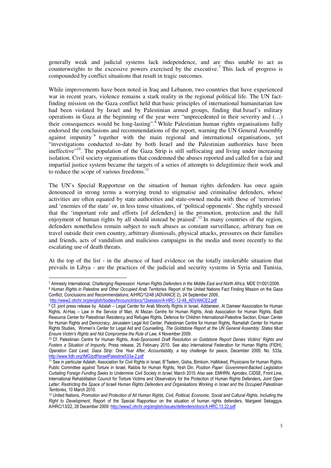generally weak and judicial systems lack independence, and are thus unable to act as counterweights to the excessive powers exercised by the executive.<sup>7</sup> This lack of progress is compounded by conflict situations that result in tragic outcomes.

While improvements have been noted in Iraq and Lebanon, two countries that have experienced war in recent years, violence remains a stark reality in the regional political life. The UN factfinding mission on the Gaza conflict held that basic principles of international humanitarian law had been violated by Israel and by Palestinian armed groups, finding that Israel's military operations in Gaza at the beginning of the year were "unprecedented in their severity and (…) their consequences would be long-lasting".<sup>8</sup> While Palestinian human rights organisations fully endorsed the conclusions and recommendations of the report, warning the UN General Assembly against impunity<sup>9</sup> together with the main regional and international organisations, yet "investigations conducted to-date by both Israel and the Palestinian authorities have been ineffective<sup> $10$ </sup>. The population of the Gaza Strip is still suffocating and living under increasing isolation. Civil society organisations that condemned the abuses reported and called for a fair and impartial justice system became the targets of a series of attempts to delegitimize their work and to reduce the scope of various freedoms.<sup>11</sup>

The UN's Special Rapporteur on the situation of human rights defenders has once again denounced in strong terms a worrying trend to stigmatise and criminalise defenders, whose activities are often equated by state authorities and state-owned media with those of 'terrorists' and 'enemies of the state' or, in less tense situations, of 'political opponents'. She rightly stressed that the 'important role and efforts [of defenders] in the promotion, protection and the full enjoyment of human rights by all should instead be praised<sup>'.12</sup> In many countries of the region, defenders nonetheless remain subject to such abuses as constant surveillance, arbitrary ban on travel outside their own country, arbitrary dismissals, physical attacks, pressures on their families and friends, acts of vandalism and malicious campaigns in the media and more recently to the escalating use of death threats.

At the top of the list - in the absence of hard evidence on the totally intolerable situation that prevails in Libya - are the practices of the judicial and security systems in Syria and Tunisia,

-

<sup>7</sup> Amnesty International, Challenging Repression: Human Rights Defenders in the Middle East and North Africa, MDE 01/001/2009. <sup>8</sup> Human Rights in Palestine and Other Occupied Arab Territories. Report of the United Nations Fact Finding Mission on the Gaza Conflict, Conclusions and Recommendations; A/HRC/12/48 (ADVANCE 2), 24 September 2009, http://www2.ohchr.org/english/bodies/hrcouncil/docs/12session/A-HRC-12-48\_ADVANCE2.pdf

<sup>&</sup>lt;sup>9</sup> Cf. joint press release by Adalah – Legal Center for Arab Minority Rights in Israel, Addameer, Al Dameer Association for Human Rights, Al-Haq – Law in the Service of Man, Al Mezan Centre for Human Rights, Arab Association for Human Rights, Badil Resource Center for Palestinian Residency and Refugee Rights, Defence for Children International-Palestine Section, Ensan Center for Human Rights and Democracy, Jerusalem Legal Aid Center, Palestinian Centre for Human Rights, Ramallah Center for Human Rights Studies, Women's Center for Legal Aid and Counselling, The Goldstone Report at the UN General Assembly: States Must Ensure Victim's Rights and Not Compromise the Rule of Law, 4 November 2009.

<sup>10</sup> Cf. Palestinian Centre for Human Rights, Arab-Sponsored Draft Resolution on Goldstone Report Denies Victims' Rights and Fosters a Situation of Impunity, Press release, 25 February 2010. See also International Federation for Human Rights (FIDH), Operation Cast Lead, Gaza Strip: One Year After, Accountability, a key challenge for peace, December 2009, No. 533a, http://www.fidh.org/IMG/pdf/IsraelPalestine533a-2.pdf

<sup>11</sup> See in particular Adalah, Association for Civil Rights in Israel, B'Tselem, Gisha, Bimkom, HaMoked, Physicians for Human Rights, Public Committee against Torture in Israel, Rabbis for Human Rights, Yesh Din, Position Paper: Government-Backed Legislation Curtailing Foreign Funding Seeks to Undermine Civil Society in Israel, March 2010. Also see: EMHRN, Aprodev, CIDSE, Front Line, International Rehabilitation Council for Torture Victims and Observatory for the Protection of Human Rights Defenders, Joint Open Letter: Restricting the Space of Israeli Human Rights Defenders and Organisations Working in Israel and the Occupied Palestinian Territories, 10 March 2010.

<sup>&</sup>lt;sup>12</sup> United Nations, Promotion and Protection of All Human Rights, Civil, Political, Economic, Social and Cultural Rights, Including the Right to Development. Report of the Special Rapporteur on the situation of human rights defenders. Margaret Sekaggya, A/HRC/13/22, 28 December 2009: http://www2.ohchr.org/english/issues/defenders/docs/A.HRC.13.22.pdf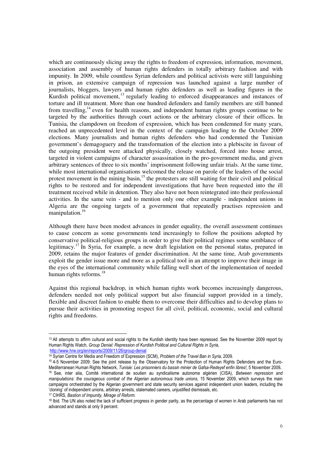which are continuously slicing away the rights to freedom of expression, information, movement, association and assembly of human rights defenders in totally arbitrary fashion and with impunity. In 2009, while countless Syrian defenders and political activists were still languishing in prison, an extensive campaign of repression was launched against a large number of journalists, bloggers, lawyers and human rights defenders as well as leading figures in the Kurdish political movement, <sup>13</sup> regularly leading to enforced disappearances and instances of torture and ill treatment. More than one hundred defenders and family members are still banned from travelling,<sup>14</sup> even for health reasons, and independent human rights groups continue to be targeted by the authorities through court actions or the arbitrary closure of their offices. In Tunisia, the clampdown on freedom of expression, which has been condemned for many years, reached an unprecedented level in the context of the campaign leading to the October 2009 elections. Many journalists and human rights defenders who had condemned the Tunisian government's demagoguery and the transformation of the election into a plebiscite in favour of the outgoing president were attacked physically, closely watched, forced into house arrest, targeted in violent campaigns of character assassination in the pro-government media, and given arbitrary sentences of three to six months' imprisonment following unfair trials. At the same time, while most international organisations welcomed the release on parole of the leaders of the social protest movement in the mining basin,<sup>15</sup> the protesters are still waiting for their civil and political rights to be restored and for independent investigations that have been requested into the ill treatment received while in detention. They also have not been reintegrated into their professional activities. In the same vein - and to mention only one other example - independent unions in Algeria are the ongoing targets of a government that repeatedly practises repression and manipulation.<sup>16</sup>

Although there have been modest advances in gender equality, the overall assessment continues to cause concern as some governments tend increasingly to follow the positions adopted by conservative political-religious groups in order to give their political regimes some semblance of legitimacy.<sup>17</sup> In Syria, for example, a new draft legislation on the personal status, prepared in 2009, retains the major features of gender discrimination. At the same time, Arab governments exploit the gender issue more and more as a political tool in an attempt to improve their image in the eyes of the international community while falling well short of the implementation of needed human rights reforms. $18$ 

Against this regional backdrop, in which human rights work becomes increasingly dangerous, defenders needed not only political support but also financial support provided in a timely, flexible and discreet fashion to enable them to overcome their difficulties and to develop plans to pursue their activities in promoting respect for all civil, political, economic, social and cultural rights and freedoms.

-

<sup>&</sup>lt;sup>13</sup> All attempts to affirm cultural and social rights to the Kurdish identity have been repressed. See the November 2009 report by Human Rights Watch, Group Denial: Repression of Kurdish Political and Cultural Rights in Syria, http://www.hrw.org/en/reports/2009/11/26/group-denial

<sup>&</sup>lt;sup>14</sup> Syrian Centre for Media and Freedom of Expression (SCM), Problem of the Travel Ban in Syria, 2009.

<sup>15</sup> 4-5 November 2009: See the joint release by the Observatory for the Protection of Human Rights Defenders and the Euro-Mediterranean Human Rights Network, Tunisie: Les prisonniers du bassin minier de Gafsa-Redeyef enfin libres!, 5 November 2009. <sup>16</sup> See, inter alia, Comité international de soutien au syndicalisme autonome algérien (CISA), Between repression and manipulations: the courageous combat of the Algerian autonomous trade unions, 15 November 2009, which surveys the main campaigns orchestrated by the Algerian government and state security services against independent union leaders, including the 'cloning' of independent unions, arbitrary arrests, stalemated careers, unjustified dismissals, etc.

<sup>&</sup>lt;sup>17</sup> CIHRS, Bastion of Impunity, Mirage of Reform.

<sup>&</sup>lt;sup>18</sup> Ibid. The UN also noted the lack of sufficient progress in gender parity, as the percentage of women in Arab parliaments has not advanced and stands at only 9 percent.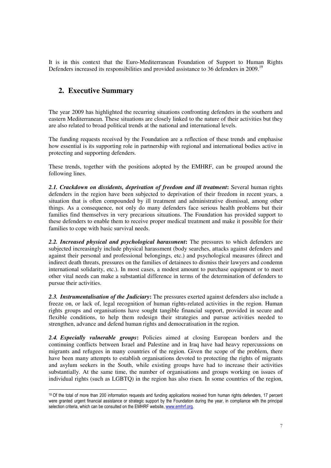It is in this context that the Euro-Mediterranean Foundation of Support to Human Rights Defenders increased its responsibilities and provided assistance to 36 defenders in 2009.<sup>19</sup>

## **2. Executive Summary**

The year 2009 has highlighted the recurring situations confronting defenders in the southern and eastern Mediterranean. These situations are closely linked to the nature of their activities but they are also related to broad political trends at the national and international levels.

The funding requests received by the Foundation are a reflection of these trends and emphasise how essential is its supporting role in partnership with regional and international bodies active in protecting and supporting defenders.

These trends, together with the positions adopted by the EMHRF, can be grouped around the following lines.

*2.1. Crackdown on dissidents, deprivation of freedom and ill treatment***:** Several human rights defenders in the region have been subjected to deprivation of their freedom in recent years, a situation that is often compounded by ill treatment and administrative dismissal, among other things. As a consequence, not only do many defenders face serious health problems but their families find themselves in very precarious situations. The Foundation has provided support to these defenders to enable them to receive proper medical treatment and make it possible for their families to cope with basic survival needs.

*2.2. Increased physical and psychological harassment***:** The pressures to which defenders are subjected increasingly include physical harassment (body searches, attacks against defenders and against their personal and professional belongings, etc.) and psychological measures (direct and indirect death threats, pressures on the families of detainees to dismiss their lawyers and condemn international solidarity, etc.). In most cases, a modest amount to purchase equipment or to meet other vital needs can make a substantial difference in terms of the determination of defenders to pursue their activities.

*2.3. Instrumentalisation of the Judiciary***:** The pressures exerted against defenders also include a freeze on, or lack of, legal recognition of human rights-related activities in the region. Human rights groups and organisations have sought tangible financial support, provided in secure and flexible conditions, to help them redesign their strategies and pursue activities needed to strengthen, advance and defend human rights and democratisation in the region.

*2.4. Especially vulnerable groups***:** Policies aimed at closing European borders and the continuing conflicts between Israel and Palestine and in Iraq have had heavy repercussions on migrants and refugees in many countries of the region. Given the scope of the problem, there have been many attempts to establish organisations devoted to protecting the rights of migrants and asylum seekers in the South, while existing groups have had to increase their activities substantially. At the same time, the number of organisations and groups working on issues of individual rights (such as LGBTQ) in the region has also risen. In some countries of the region,

<sup>-</sup><sup>19</sup> Of the total of more than 200 information requests and funding applications received from human rights defenders, 17 percent were granted urgent financial assistance or strategic support by the Foundation during the year, in compliance with the principal selection criteria, which can be consulted on the EMHRF website, www.emhrf.org.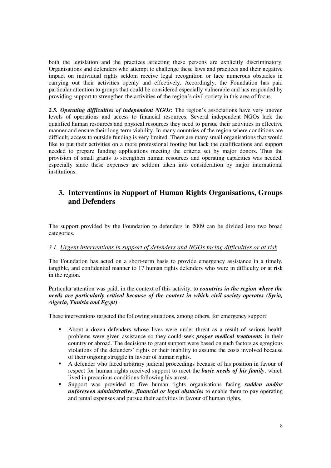both the legislation and the practices affecting these persons are explicitly discriminatory. Organisations and defenders who attempt to challenge these laws and practices and their negative impact on individual rights seldom receive legal recognition or face numerous obstacles in carrying out their activities openly and effectively. Accordingly, the Foundation has paid particular attention to groups that could be considered especially vulnerable and has responded by providing support to strengthen the activities of the region's civil society in this area of focus.

*2.5. Operating difficulties of independent NGOs***:** The region's associations have very uneven levels of operations and access to financial resources. Several independent NGOs lack the qualified human resources and physical resources they need to pursue their activities in effective manner and ensure their long-term viability. In many countries of the region where conditions are difficult, access to outside funding is very limited. There are many small organisations that would like to put their activities on a more professional footing but lack the qualifications and support needed to prepare funding applications meeting the criteria set by major donors. Thus the provision of small grants to strengthen human resources and operating capacities was needed, especially since these expenses are seldom taken into consideration by major international institutions.

# **3. Interventions in Support of Human Rights Organisations, Groups and Defenders**

The support provided by the Foundation to defenders in 2009 can be divided into two broad categories.

#### *3.1. Urgent interventions in support of defenders and NGOs facing difficulties or at risk*

The Foundation has acted on a short-term basis to provide emergency assistance in a timely, tangible, and confidential manner to 17 human rights defenders who were in difficulty or at risk in the region.

Particular attention was paid, in the context of this activity, to *countries in the region where the needs are particularly critical because of the context in which civil society operates (Syria, Algeria, Tunisia and Egypt)*.

These interventions targeted the following situations, among others, for emergency support:

- About a dozen defenders whose lives were under threat as a result of serious health problems were given assistance so they could seek *proper medical treatments* in their country or abroad. The decisions to grant support were based on such factors as egregious violations of the defenders' rights or their inability to assume the costs involved because of their ongoing struggle in favour of human rights.
- A defender who faced arbitrary judicial proceedings because of his position in favour of respect for human rights received support to meet the *basic needs of his family*, which lived in precarious conditions following his arrest.
- Support was provided to five human rights organisations facing *sudden and/or unforeseen administrative, financial or legal obstacles* to enable them to pay operating and rental expenses and pursue their activities in favour of human rights.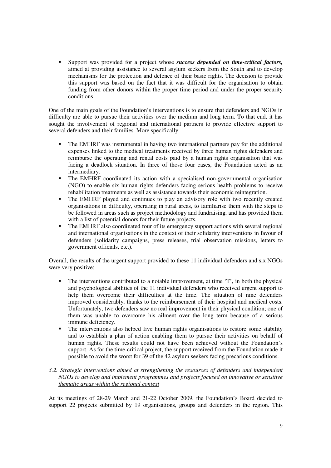Support was provided for a project whose *success depended on time-critical factors,* aimed at providing assistance to several asylum seekers from the South and to develop mechanisms for the protection and defence of their basic rights. The decision to provide this support was based on the fact that it was difficult for the organisation to obtain funding from other donors within the proper time period and under the proper security conditions.

One of the main goals of the Foundation's interventions is to ensure that defenders and NGOs in difficulty are able to pursue their activities over the medium and long term. To that end, it has sought the involvement of regional and international partners to provide effective support to several defenders and their families. More specifically:

- The EMHRF was instrumental in having two international partners pay for the additional expenses linked to the medical treatments received by three human rights defenders and reimburse the operating and rental costs paid by a human rights organisation that was facing a deadlock situation. In three of those four cases, the Foundation acted as an intermediary.
- The EMHRF coordinated its action with a specialised non-governmental organisation (NGO) to enable six human rights defenders facing serious health problems to receive rehabilitation treatments as well as assistance towards their economic reintegration.
- The EMHRF played and continues to play an advisory role with two recently created organisations in difficulty, operating in rural areas, to familiarise them with the steps to be followed in areas such as project methodology and fundraising, and has provided them with a list of potential donors for their future projects.
- The EMHRF also coordinated four of its emergency support actions with several regional and international organisations in the context of their solidarity interventions in favour of defenders (solidarity campaigns, press releases, trial observation missions, letters to government officials, etc.).

Overall, the results of the urgent support provided to these 11 individual defenders and six NGOs were very positive:

- The interventions contributed to a notable improvement, at time 'T', in both the physical and psychological abilities of the 11 individual defenders who received urgent support to help them overcome their difficulties at the time. The situation of nine defenders improved considerably, thanks to the reimbursement of their hospital and medical costs. Unfortunately, two defenders saw no real improvement in their physical condition; one of them was unable to overcome his ailment over the long term because of a serious immune deficiency.
- The interventions also helped five human rights organisations to restore some stability and to establish a plan of action enabling them to pursue their activities on behalf of human rights. These results could not have been achieved without the Foundation's support. As for the time-critical project, the support received from the Foundation made it possible to avoid the worst for 39 of the 42 asylum seekers facing precarious conditions.

### *3.2. Strategic interventions aimed at strengthening the resources of defenders and independent NGOs to develop and implement programmes and projects focused on innovative or sensitive thematic areas within the regional context*

At its meetings of 28-29 March and 21-22 October 2009, the Foundation's Board decided to support 22 projects submitted by 19 organisations, groups and defenders in the region. This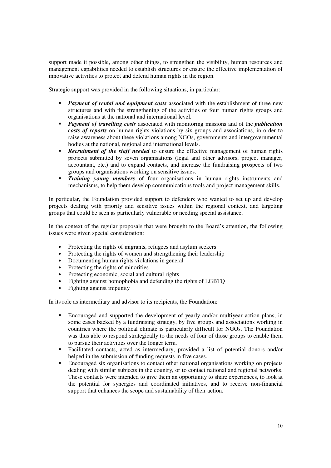support made it possible, among other things, to strengthen the visibility, human resources and management capabilities needed to establish structures or ensure the effective implementation of innovative activities to protect and defend human rights in the region.

Strategic support was provided in the following situations, in particular:

- **Payment of rental and equipment costs** associated with the establishment of three new structures and with the strengthening of the activities of four human rights groups and organisations at the national and international level.
- *Payment of travelling costs* associated with monitoring missions and of the *publication costs of reports* on human rights violations by six groups and associations, in order to raise awareness about these violations among NGOs, governments and intergovernmental bodies at the national, regional and international levels.
- **Recruitment of the staff needed** to ensure the effective management of human rights projects submitted by seven organisations (legal and other advisors, project manager, accountant, etc.) and to expand contacts, and increase the fundraising prospects of two groups and organisations working on sensitive issues.
- **Training young members** of four organisations in human rights instruments and mechanisms, to help them develop communications tools and project management skills.

In particular, the Foundation provided support to defenders who wanted to set up and develop projects dealing with priority and sensitive issues within the regional context, and targeting groups that could be seen as particularly vulnerable or needing special assistance.

In the context of the regular proposals that were brought to the Board's attention, the following issues were given special consideration:

- Protecting the rights of migrants, refugees and asylum seekers
- Protecting the rights of women and strengthening their leadership
- Documenting human rights violations in general
- Protecting the rights of minorities
- Protecting economic, social and cultural rights
- Fighting against homophobia and defending the rights of LGBTQ
- Fighting against impunity

In its role as intermediary and advisor to its recipients, the Foundation:

- Encouraged and supported the development of yearly and/or multiyear action plans, in some cases backed by a fundraising strategy, by five groups and associations working in countries where the political climate is particularly difficult for NGOs. The Foundation was thus able to respond strategically to the needs of four of those groups to enable them to pursue their activities over the longer term.
- Facilitated contacts, acted as intermediary, provided a list of potential donors and/or helped in the submission of funding requests in five cases.
- Encouraged six organisations to contact other national organisations working on projects dealing with similar subjects in the country, or to contact national and regional networks. These contacts were intended to give them an opportunity to share experiences, to look at the potential for synergies and coordinated initiatives, and to receive non-financial support that enhances the scope and sustainability of their action.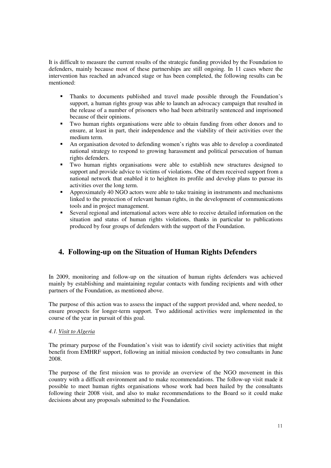It is difficult to measure the current results of the strategic funding provided by the Foundation to defenders, mainly because most of these partnerships are still ongoing. In 11 cases where the intervention has reached an advanced stage or has been completed, the following results can be mentioned:

- Thanks to documents published and travel made possible through the Foundation's support, a human rights group was able to launch an advocacy campaign that resulted in the release of a number of prisoners who had been arbitrarily sentenced and imprisoned because of their opinions.
- Two human rights organisations were able to obtain funding from other donors and to ensure, at least in part, their independence and the viability of their activities over the medium term.
- An organisation devoted to defending women's rights was able to develop a coordinated national strategy to respond to growing harassment and political persecution of human rights defenders.
- Two human rights organisations were able to establish new structures designed to support and provide advice to victims of violations. One of them received support from a national network that enabled it to heighten its profile and develop plans to pursue its activities over the long term.
- Approximately 40 NGO actors were able to take training in instruments and mechanisms linked to the protection of relevant human rights, in the development of communications tools and in project management.
- Several regional and international actors were able to receive detailed information on the situation and status of human rights violations, thanks in particular to publications produced by four groups of defenders with the support of the Foundation.

# **4. Following-up on the Situation of Human Rights Defenders**

In 2009, monitoring and follow-up on the situation of human rights defenders was achieved mainly by establishing and maintaining regular contacts with funding recipients and with other partners of the Foundation, as mentioned above.

The purpose of this action was to assess the impact of the support provided and, where needed, to ensure prospects for longer-term support. Two additional activities were implemented in the course of the year in pursuit of this goal.

### *4.1.Visit to Algeria*

The primary purpose of the Foundation's visit was to identify civil society activities that might benefit from EMHRF support, following an initial mission conducted by two consultants in June 2008.

The purpose of the first mission was to provide an overview of the NGO movement in this country with a difficult environment and to make recommendations. The follow-up visit made it possible to meet human rights organisations whose work had been hailed by the consultants following their 2008 visit, and also to make recommendations to the Board so it could make decisions about any proposals submitted to the Foundation.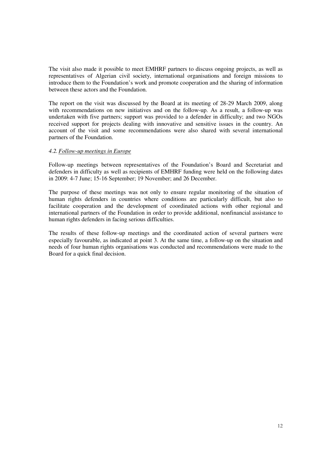The visit also made it possible to meet EMHRF partners to discuss ongoing projects, as well as representatives of Algerian civil society, international organisations and foreign missions to introduce them to the Foundation's work and promote cooperation and the sharing of information between these actors and the Foundation.

The report on the visit was discussed by the Board at its meeting of 28-29 March 2009, along with recommendations on new initiatives and on the follow-up. As a result, a follow-up was undertaken with five partners; support was provided to a defender in difficulty; and two NGOs received support for projects dealing with innovative and sensitive issues in the country. An account of the visit and some recommendations were also shared with several international partners of the Foundation.

#### *4.2.Follow-up meetings in Europe*

Follow-up meetings between representatives of the Foundation's Board and Secretariat and defenders in difficulty as well as recipients of EMHRF funding were held on the following dates in 2009: 4-7 June; 15-16 September; 19 November; and 26 December.

The purpose of these meetings was not only to ensure regular monitoring of the situation of human rights defenders in countries where conditions are particularly difficult, but also to facilitate cooperation and the development of coordinated actions with other regional and international partners of the Foundation in order to provide additional, nonfinancial assistance to human rights defenders in facing serious difficulties.

The results of these follow-up meetings and the coordinated action of several partners were especially favourable, as indicated at point 3. At the same time, a follow-up on the situation and needs of four human rights organisations was conducted and recommendations were made to the Board for a quick final decision.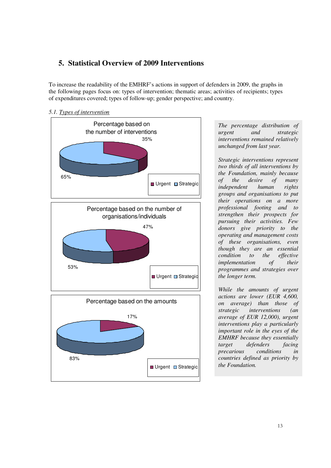# **5. Statistical Overview of 2009 Interventions**

To increase the readability of the EMHRF's actions in support of defenders in 2009, the graphs in the following pages focus on: types of intervention; thematic areas; activities of recipients; types of expenditures covered; types of follow-up; gender perspective; and country.



*5.1. Types of intervention*

*The percentage distribution of urgent and strategic interventions remained relatively unchanged from last year.* 

*Strategic interventions represent two thirds of all interventions by the Foundation, mainly because of the desire of many independent human rights groups and organisations to put their operations on a more professional footing and to strengthen their prospects for pursuing their activities. Few donors give priority to the operating and management costs of these organisations, even though they are an essential condition to the effective implementation of their programmes and strategies over the longer term.* 

*While the amounts of urgent actions are lower (EUR 4,600, on average) than those of strategic interventions (an average of EUR 12,000), urgent interventions play a particularly important role in the eyes of the EMHRF because they essentially target defenders facing precarious conditions in countries defined as priority by the Foundation.*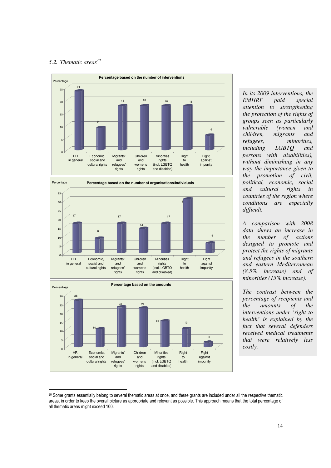### *5.2. Thematic areas<sup>20</sup>*







*In its 2009 interventions, the*   $p$ aid special *attention to strengthening the protection of the rights of groups seen as particularly vulnerable (women and children, migrants and refugees, minorities, including LGBTQ and persons with disabilities), without diminishing in any way the importance given to the promotion of civil, political, economic, social and cultural rights in countries of the region where conditions are especially difficult.*

*A comparison with 2008 data shows an increase in the number of actions designed to promote and protect the rights of migrants and refugees in the southern and eastern Mediterranean (8.5% increase) and of minorities (15% increase).* 

*The contrast between the percentage of recipients and the amounts of the interventions under 'right to health' is explained by the fact that several defenders received medical treatments that were relatively less costly.*

<sup>-</sup><sup>20</sup> Some grants essentially belong to several thematic areas at once, and these grants are included under all the respective thematic areas, in order to keep the overall picture as appropriate and relevant as possible. This approach means that the total percentage of all thematic areas might exceed 100.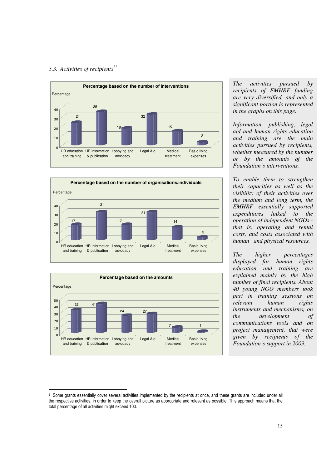#### *5.3. Activities of recipients<sup>21</sup>*

-







*The activities pursued by recipients of EMHRF funding are very diversified, and only a significant portion is represented in the graphs on this page.* 

*Information, publishing, legal aid and human rights education and training are the main activities pursued by recipients, whether measured by the number or by the amounts of the Foundation's interventions.* 

*To enable them to strengthen their capacities as well as the visibility of their activities over the medium and long term, the EMHRF essentially supported expenditures linked to the operation of independent NGOs that is, operating and rental costs, and costs associated with human and physical resources.* 

*The higher percentages displayed for human rights education and training are explained mainly by the high number of final recipients. About 40 young NGO members took part in training sessions on relevant human rights instruments and mechanisms, on the development of communications tools and on project management, that were given by recipients of the Foundation's support in 2009.* 

<sup>&</sup>lt;sup>21</sup> Some grants essentially cover several activities implemented by the recipients at once, and these grants are included under all the respective activities, in order to keep the overall picture as appropriate and relevant as possible. This approach means that the total percentage of all activities might exceed 100.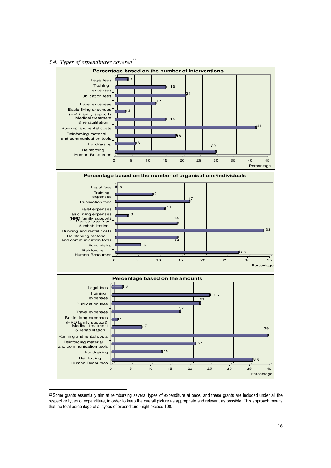### *5.4. Types of expenditures covered<sup>22</sup>*

-



<sup>&</sup>lt;sup>22</sup> Some grants essentially aim at reimbursing several types of expenditure at once, and these grants are included under all the respective types of expenditure, in order to keep the overall picture as appropriate and relevant as possible. This approach means that the total percentage of all types of expenditure might exceed 100.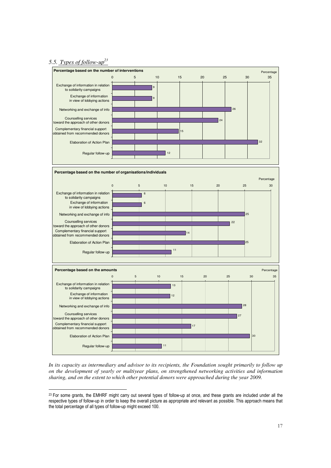### *5.5. Types of follow-up<sup>23</sup>*

-



*In its capacity as intermediary and advisor to its recipients, the Foundation sought primarily to follow up on the development of yearly or multiyear plans, on strengthened networking activities and information sharing, and on the extent to which other potential donors were approached during the year 2009.* 

 $23$  For some grants, the EMHRF might carry out several types of follow-up at once, and these grants are included under all the respective types of follow-up in order to keep the overall picture as appropriate and relevant as possible. This approach means that the total percentage of all types of follow-up might exceed 100.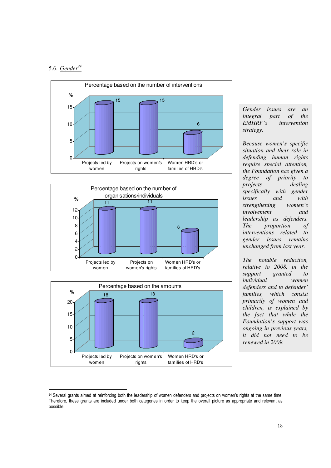### 5.6. *Gender<sup>24</sup>*







*Gender issues are an integral part of the EMHRF's intervention strategy.* 

*Because women's specific situation and their role in defending human rights require special attention, the Foundation has given a degree of priority to projects dealing specifically with gender issues and with strengthening women's involvement and leadership as defenders. The proportion of interventions related to gender issues remains unchanged from last year.* 

*The notable reduction, relative to 2008, in the granted to individual women defenders and to defender' families, which consist primarily of women and children, is explained by the fact that while the Foundation's support was ongoing in previous years, it did not need to be renewed in 2009.* 

<sup>-</sup><sup>24</sup> Several grants aimed at reinforcing both the leadership of women defenders and projects on women's rights at the same time. Therefore, these grants are included under both categories in order to keep the overall picture as appropriate and relevant as possible.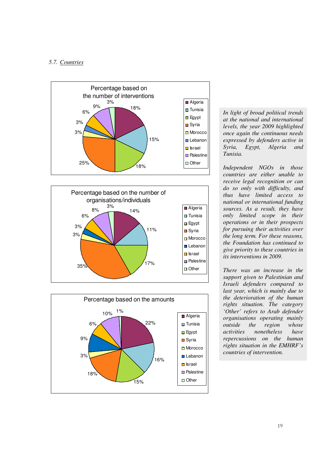### *5.7. Countries*







*In light of broad political trends at the national and international levels, the year 2009 highlighted once again the continuous needs expressed by defenders active in Syria, Egypt, Algeria and Tunisia.* 

*Independent NGOs in those countries are either unable to receive legal recognition or can do so only with difficulty, and thus have limited access to national or international funding sources. As a result, they have only limited scope in their operations or in their prospects for pursuing their activities over the long term. For these reasons, the Foundation has continued to give priority to these countries in its interventions in 2009.* 

*There was an increase in the support given to Palestinian and Israeli defenders compared to last year, which is mainly due to the deterioration of the human rights situation. The category 'Other' refers to Arab defender organisations operating mainly outside the region whose activities nonetheless have repercussions on the human rights situation in the EMHRF's countries of intervention.*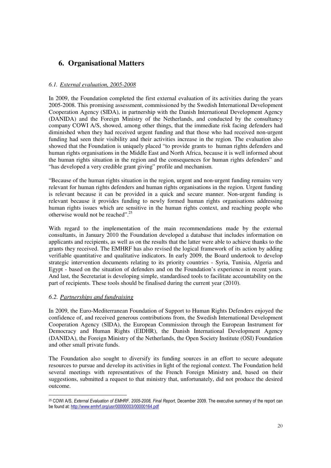# **6. Organisational Matters**

### *6.1. External evaluation, 2005-2008*

In 2009, the Foundation completed the first external evaluation of its activities during the years 2005-2008. This promising assessment, commissioned by the Swedish International Development Cooperation Agency (SIDA), in partnership with the Danish International Development Agency (DANIDA) and the Foreign Ministry of the Netherlands, and conducted by the consultancy company COWI A/S, showed, among other things, that the immediate risk facing defenders had diminished when they had received urgent funding and that those who had received non-urgent funding had seen their visibility and their activities increase in the region. The evaluation also showed that the Foundation is uniquely placed "to provide grants to human rights defenders and human rights organisations in the Middle East and North Africa, because it is well informed about the human rights situation in the region and the consequences for human rights defenders" and "has developed a very credible grant giving" profile and mechanism.

"Because of the human rights situation in the region, urgent and non-urgent funding remains very relevant for human rights defenders and human rights organisations in the region. Urgent funding is relevant because it can be provided in a quick and secure manner. Non-urgent funding is relevant because it provides funding to newly formed human rights organisations addressing human rights issues which are sensitive in the human rights context, and reaching people who otherwise would not be reached".<sup>25</sup>

With regard to the implementation of the main recommendations made by the external consultants, in January 2010 the Foundation developed a database that includes information on applicants and recipients, as well as on the results that the latter were able to achieve thanks to the grants they received. The EMHRF has also revised the logical framework of its action by adding verifiable quantitative and qualitative indicators. In early 2009, the Board undertook to develop strategic intervention documents relating to its priority countries - Syria, Tunisia, Algeria and Egypt - based on the situation of defenders and on the Foundation's experience in recent years. And last, the Secretariat is developing simple, standardised tools to facilitate accountability on the part of recipients. These tools should be finalised during the current year (2010).

#### *6.2. Partnerships and fundraising*

In 2009, the Euro-Mediterranean Foundation of Support to Human Rights Defenders enjoyed the confidence of, and received generous contributions from, the Swedish International Development Cooperation Agency (SIDA), the European Commission through the European Instrument for Democracy and Human Rights (EIDHR), the Danish International Development Agency (DANIDA), the Foreign Ministry of the Netherlands, the Open Society Institute (OSI) Foundation and other small private funds.

The Foundation also sought to diversify its funding sources in an effort to secure adequate resources to pursue and develop its activities in light of the regional context. The Foundation held several meetings with representatives of the French Foreign Ministry and, based on their suggestions, submitted a request to that ministry that, unfortunately, did not produce the desired outcome.

<sup>-</sup><sup>25</sup> COWI A/S, External Evaluation of EMHRF, 2005-2008, Final Report, December 2009. The executive summary of the report can be found at: http://www.emhrf.org/usr/00000003/00000164.pdf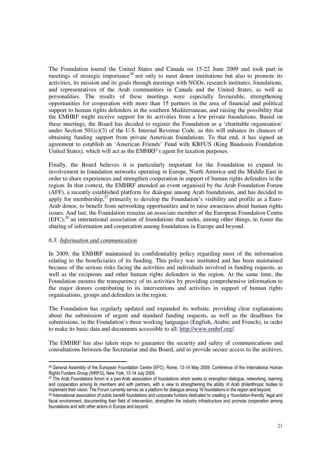The Foundation toured the United States and Canada on 15-22 June 2009 and took part in meetings of strategic importance<sup>26</sup> not only to meet donor institutions but also to promote its activities, its mission and its goals through meetings with NGOs, research institutes, foundations, and representatives of the Arab communities in Canada and the United States, as well as personalities. The results of these meetings were especially favourable, strengthening opportunities for cooperation with more than 15 partners in the area of financial and political support to human rights defenders in the southern Mediterranean, and raising the possibility that the EMHRF might receive support for its activities from a few private foundations. Based on these meetings, the Board has decided to register the Foundation as a 'charitable organisation' under Section 501(c)(3) of the U.S. Internal Revenue Code, as this will enhance its chances of obtaining funding support from private American foundations. To that end, it has signed an agreement to establish an 'American Friends' Fund with KBFUS (King Baudouin Foundation United States), which will act as the EMHRF's agent for taxation purposes.

Finally, the Board believes it is particularly important for the Foundation to expand its involvement in foundation networks operating in Europe, North America and the Middle East in order to share experiences and strengthen cooperation in support of human rights defenders in the region. In that context, the EMHRF attended an event organised by the Arab Foundation Forum (AFF), a recently established platform for dialogue among Arab foundations, and has decided to apply for membership, $^{27}$  primarily to develop the Foundation's visibility and profile as a Euro-Arab donor, to benefit from networking opportunities and to raise awareness about human rights issues. And last, the Foundation remains an associate member of the European Foundation Centre  $(EFC)$ ,<sup>28</sup> an international association of foundations that seeks, among other things, to foster the sharing of information and cooperation among foundations in Europe and beyond.

#### *6.3. Information and communication*

In 2009, the EMHRF maintained its confidentiality policy regarding most of the information relating to the beneficiaries of its funding. This policy was instituted and has been maintained because of the serious risks facing the activities and individuals involved in funding requests, as well as the recipients and other human rights defenders in the region. At the same time, the Foundation ensures the transparency of its activities by providing comprehensive information to the major donors contributing to its interventions and activities in support of human rights organisations, groups and defenders in the region.

The Foundation has regularly updated and expanded its website, providing clear explanations about the submission of urgent and standard funding requests, as well as the deadlines for submissions, in the Foundation's three working languages (English, Arabic and French), in order to make its basic data and documents accessible to all: http://www.emhrf.org/.

The EMHRF has also taken steps to guarantee the security and safety of communications and consultations between the Secretariat and the Board, and to provide secure access to the archives,

<sup>-</sup><sup>26</sup> General Assembly of the European Foundation Centre (EFC), Rome, 13-14 May 2009; Conference of the International Human Rights Funders Group (IHRFG), New York, 13-14 July 2009.

<sup>&</sup>lt;sup>27</sup> The Arab Foundations forum is a pan-Arab association of foundations which seeks to strengthen dialogue, networking, learning and cooperation among its members and with partners, with a view to strengthening the ability of Arab philanthropic bodies to implement their vision. The Forum currently serves as a platform for dialogue among 16 foundations in the region and beyond.

<sup>&</sup>lt;sup>28</sup> International association of public benefit foundations and corporate funders dedicated to creating a 'foundation-friendly' legal and fiscal environment, documenting their field of intervention, strengthen the industry infrastructure and promote cooperation among foundations and with other actors in Europe and beyond.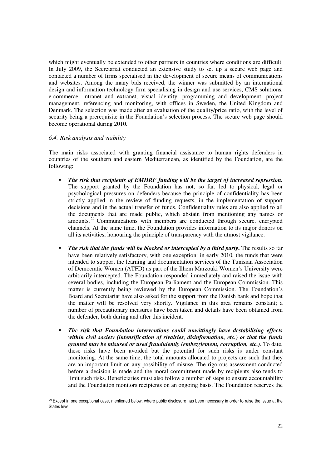which might eventually be extended to other partners in countries where conditions are difficult. In July 2009, the Secretariat conducted an extensive study to set up a secure web page and contacted a number of firms specialised in the development of secure means of communications and websites. Among the many bids received, the winner was submitted by an international design and information technology firm specialising in design and use services, CMS solutions, e-commerce, intranet and extranet, visual identity, programming and development, project management, referencing and monitoring, with offices in Sweden, the United Kingdom and Denmark. The selection was made after an evaluation of the quality/price ratio, with the level of security being a prerequisite in the Foundation's selection process. The secure web page should become operational during 2010.

#### *6.4. Risk analysis and viability*

The main risks associated with granting financial assistance to human rights defenders in countries of the southern and eastern Mediterranean, as identified by the Foundation, are the following:

- *The risk that recipients of EMHRF funding will be the target of increased repression.* The support granted by the Foundation has not, so far, led to physical, legal or psychological pressures on defenders because the principle of confidentiality has been strictly applied in the review of funding requests, in the implementation of support decisions and in the actual transfer of funds. Confidentiality rules are also applied to all the documents that are made public, which abstain from mentioning any names or amounts. <sup>29</sup> Communications with members are conducted through secure, encrypted channels. At the same time, the Foundation provides information to its major donors on all its activities, honouring the principle of transparency with the utmost vigilance.
- *The risk that the funds will be blocked or intercepted by a third party***.** The results so far have been relatively satisfactory, with one exception: in early 2010, the funds that were intended to support the learning and documentation services of the Tunisian Association of Democratic Women (ATFD) as part of the Ilhem Marzouki Women's University were arbitrarily intercepted. The Foundation responded immediately and raised the issue with several bodies, including the European Parliament and the European Commission. This matter is currently being reviewed by the European Commission. The Foundation's Board and Secretariat have also asked for the support from the Danish bank and hope that the matter will be resolved very shortly. Vigilance in this area remains constant; a number of precautionary measures have been taken and details have been obtained from the defender, both during and after this incident.
- *The risk that Foundation interventions could unwittingly have destabilising effects within civil society (intensification of rivalries, disinformation, etc.) or that the funds granted may be misused or used fraudulently (embezzlement, corruption, etc.).* To date, these risks have been avoided but the potential for such risks is under constant monitoring. At the same time, the total amounts allocated to projects are such that they are an important limit on any possibility of misuse. The rigorous assessment conducted before a decision is made and the moral commitment made by recipients also tends to limit such risks. Beneficiaries must also follow a number of steps to ensure accountability and the Foundation monitors recipients on an ongoing basis. The Foundation reserves the

<sup>-</sup> $29$  Except in one exceptional case, mentioned below, where public disclosure has been necessary in order to raise the issue at the States level.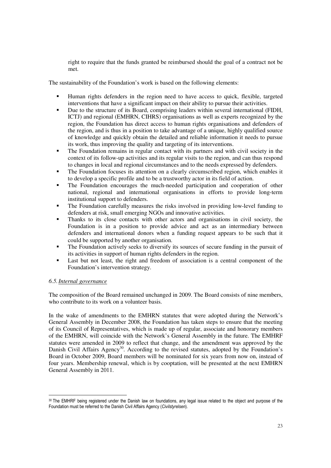right to require that the funds granted be reimbursed should the goal of a contract not be met.

The sustainability of the Foundation's work is based on the following elements:

- Human rights defenders in the region need to have access to quick, flexible, targeted interventions that have a significant impact on their ability to pursue their activities.
- Due to the structure of its Board, comprising leaders within several international (FIDH, ICTJ) and regional (EMHRN, CIHRS) organisations as well as experts recognized by the region, the Foundation has direct access to human rights organisations and defenders of the region, and is thus in a position to take advantage of a unique, highly qualified source of knowledge and quickly obtain the detailed and reliable information it needs to pursue its work, thus improving the quality and targeting of its interventions.
- The Foundation remains in regular contact with its partners and with civil society in the context of its follow-up activities and its regular visits to the region, and can thus respond to changes in local and regional circumstances and to the needs expressed by defenders.
- The Foundation focuses its attention on a clearly circumscribed region, which enables it to develop a specific profile and to be a trustworthy actor in its field of action.
- The Foundation encourages the much-needed participation and cooperation of other national, regional and international organisations in efforts to provide long-term institutional support to defenders.
- The Foundation carefully measures the risks involved in providing low-level funding to defenders at risk, small emerging NGOs and innovative activities.
- Thanks to its close contacts with other actors and organisations in civil society, the Foundation is in a position to provide advice and act as an intermediary between defenders and international donors when a funding request appears to be such that it could be supported by another organisation.
- The Foundation actively seeks to diversify its sources of secure funding in the pursuit of its activities in support of human rights defenders in the region.
- Last but not least, the right and freedom of association is a central component of the Foundation's intervention strategy.

#### *6.5.Internal governance*

The composition of the Board remained unchanged in 2009. The Board consists of nine members, who contribute to its work on a volunteer basis.

In the wake of amendments to the EMHRN statutes that were adopted during the Network's General Assembly in December 2008, the Foundation has taken steps to ensure that the meeting of its Council of Representatives, which is made up of regular, associate and honorary members of the EMHRN, will coincide with the Network's General Assembly in the future. The EMHRF statutes were amended in 2009 to reflect that change, and the amendment was approved by the Danish Civil Affairs Agency<sup>30</sup>. According to the revised statutes, adopted by the Foundation's Board in October 2009, Board members will be nominated for six years from now on, instead of four years. Membership renewal, which is by cooptation, will be presented at the next EMHRN General Assembly in 2011.

<sup>-</sup><sup>30</sup> The EMHRF being registered under the Danish law on foundations, any legal issue related to the object and purpose of the Foundation must be referred to the Danish Civil Affairs Agency (Civilstyrelsen).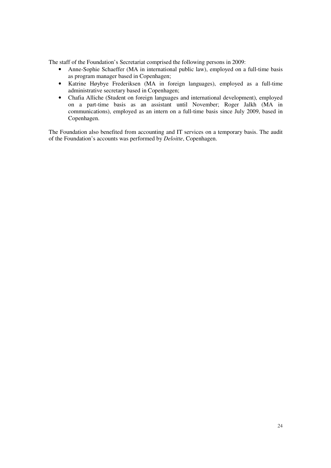The staff of the Foundation's Secretariat comprised the following persons in 2009:

- Anne-Sophie Schaeffer (MA in international public law), employed on a full-time basis as program manager based in Copenhagen;
- Katrine Høybye Frederiksen (MA in foreign languages), employed as a full-time administrative secretary based in Copenhagen;
- Chafia Alliche (Student on foreign languages and international development), employed on a part-time basis as an assistant until November; Roger Jalkh (MA in communications), employed as an intern on a full-time basis since July 2009, based in Copenhagen.

The Foundation also benefited from accounting and IT services on a temporary basis. The audit of the Foundation's accounts was performed by *Deloitte*, Copenhagen.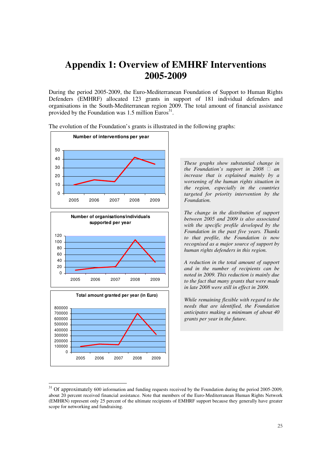# **Appendix 1: Overview of EMHRF Interventions 2005-2009**

During the period 2005-2009, the Euro-Mediterranean Foundation of Support to Human Rights Defenders (EMHRF) allocated 123 grants in support of 181 individual defenders and organisations in the South-Mediterranean region 2009. The total amount of financial assistance provided by the Foundation was  $1.5$  million Euros<sup>31</sup>.









-

*These graphs show substantial change in the Foundation's support in 2008 an increase that is explained mainly by a worsening of the human rights situation in the region, especially in the countries targeted for priority intervention by the Foundation.* 

*The change in the distribution of support between 2005 and 2009 is also associated with the specific profile developed by the Foundation in the past five years. Thanks to that profile, the Foundation is now recognised as a major source of support by human rights defenders in this region.* 

*A reduction in the total amount of support and in the number of recipients can be noted in 2009. This reduction is mainly due to the fact that many grants that were made in late 2008 were still in effect in 2009.* 

*While remaining flexible with regard to the needs that are identified, the Foundation anticipates making a minimum of about 40 grants per year in the future.* 

 $31$  Of approximately 600 information and funding requests received by the Foundation during the period 2005-2009, about 20 percent received financial assistance. Note that members of the Euro-Mediterranean Human Rights Network (EMHRN) represent only 25 percent of the ultimate recipients of EMHRF support because they generally have greater scope for networking and fundraising.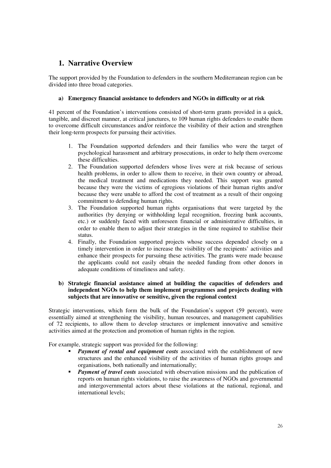# **1. Narrative Overview**

The support provided by the Foundation to defenders in the southern Mediterranean region can be divided into three broad categories.

### **a) Emergency financial assistance to defenders and NGOs in difficulty or at risk**

41 percent of the Foundation's interventions consisted of short-term grants provided in a quick, tangible, and discreet manner, at critical junctures, to 109 human rights defenders to enable them to overcome difficult circumstances and/or reinforce the visibility of their action and strengthen their long-term prospects for pursuing their activities.

- 1. The Foundation supported defenders and their families who were the target of psychological harassment and arbitrary prosecutions, in order to help them overcome these difficulties.
- 2. The Foundation supported defenders whose lives were at risk because of serious health problems, in order to allow them to receive, in their own country or abroad, the medical treatment and medications they needed. This support was granted because they were the victims of egregious violations of their human rights and/or because they were unable to afford the cost of treatment as a result of their ongoing commitment to defending human rights.
- 3. The Foundation supported human rights organisations that were targeted by the authorities (by denying or withholding legal recognition, freezing bank accounts, etc.) or suddenly faced with unforeseen financial or administrative difficulties, in order to enable them to adjust their strategies in the time required to stabilise their status.
- 4. Finally, the Foundation supported projects whose success depended closely on a timely intervention in order to increase the visibility of the recipients' activities and enhance their prospects for pursuing these activities. The grants were made because the applicants could not easily obtain the needed funding from other donors in adequate conditions of timeliness and safety.

### **b) Strategic financial assistance aimed at building the capacities of defenders and independent NGOs to help them implement programmes and projects dealing with subjects that are innovative or sensitive, given the regional context**

Strategic interventions, which form the bulk of the Foundation's support (59 percent), were essentially aimed at strengthening the visibility, human resources, and management capabilities of 72 recipients, to allow them to develop structures or implement innovative and sensitive activities aimed at the protection and promotion of human rights in the region.

For example, strategic support was provided for the following:

- **Payment of rental and equipment costs** associated with the establishment of new structures and the enhanced visibility of the activities of human rights groups and organisations, both nationally and internationally;
- *Payment of travel costs* associated with observation missions and the publication of reports on human rights violations, to raise the awareness of NGOs and governmental and intergovernmental actors about these violations at the national, regional, and international levels;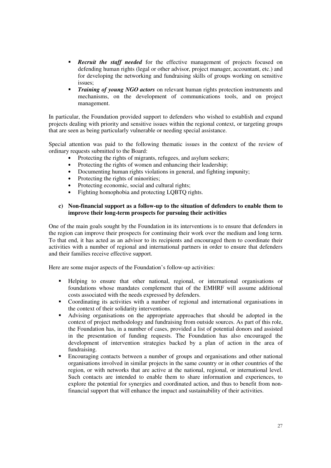- **Recruit the staff needed** for the effective management of projects focused on defending human rights (legal or other advisor, project manager, accountant, etc.) and for developing the networking and fundraising skills of groups working on sensitive issues;
- *Training of young NGO actors* on relevant human rights protection instruments and mechanisms, on the development of communications tools, and on project management.

In particular, the Foundation provided support to defenders who wished to establish and expand projects dealing with priority and sensitive issues within the regional context, or targeting groups that are seen as being particularly vulnerable or needing special assistance.

Special attention was paid to the following thematic issues in the context of the review of ordinary requests submitted to the Board:

- Protecting the rights of migrants, refugees, and asylum seekers;<br>• Protecting the rights of women and enhancing their leadership
- Protecting the rights of women and enhancing their leadership;
- Documenting human rights violations in general, and fighting impunity;
- Protecting the rights of minorities;
- Protecting economic, social and cultural rights;
- Fighting homophobia and protecting LQBTQ rights.

#### **c) Non-financial support as a follow-up to the situation of defenders to enable them to improve their long-term prospects for pursuing their activities**

One of the main goals sought by the Foundation in its interventions is to ensure that defenders in the region can improve their prospects for continuing their work over the medium and long term. To that end, it has acted as an advisor to its recipients and encouraged them to coordinate their activities with a number of regional and international partners in order to ensure that defenders and their families receive effective support.

Here are some major aspects of the Foundation's follow-up activities:

- Helping to ensure that other national, regional, or international organisations or foundations whose mandates complement that of the EMHRF will assume additional costs associated with the needs expressed by defenders.
- Coordinating its activities with a number of regional and international organisations in the context of their solidarity interventions.
- Advising organisations on the appropriate approaches that should be adopted in the context of project methodology and fundraising from outside sources. As part of this role, the Foundation has, in a number of cases, provided a list of potential donors and assisted in the presentation of funding requests. The Foundation has also encouraged the development of intervention strategies backed by a plan of action in the area of fundraising.
- Encouraging contacts between a number of groups and organisations and other national organisations involved in similar projects in the same country or in other countries of the region, or with networks that are active at the national, regional, or international level. Such contacts are intended to enable them to share information and experiences, to explore the potential for synergies and coordinated action, and thus to benefit from nonfinancial support that will enhance the impact and sustainability of their activities.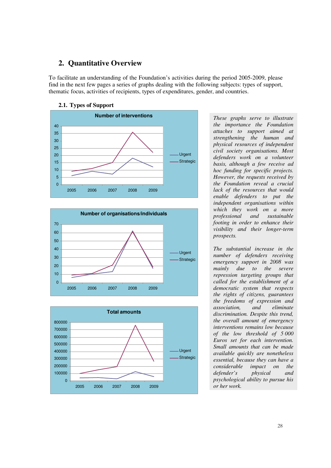### **2. Quantitative Overview**

To facilitate an understanding of the Foundation's activities during the period 2005-2009, please find in the next few pages a series of graphs dealing with the following subjects: types of support, thematic focus, activities of recipients, types of expenditures, gender, and countries.

### **2.1. Types of Support**







*These graphs serve to illustrate the importance the Foundation attaches to support aimed at strengthening the human and physical resources of independent civil society organisations. Most defenders work on a volunteer basis, although a few receive ad hoc funding for specific projects. However, the requests received by the Foundation reveal a crucial lack of the resources that would enable defenders to put the independent organisations within which they work on a more professional and sustainable footing in order to enhance their visibility and their longer-term prospects.* 

*The substantial increase in the number of defenders receiving emergency support in 2008 was mainly due to the severe repression targeting groups that called for the establishment of a democratic system that respects the rights of citizens, guarantees the freedoms of expression and association, and eliminate discrimination. Despite this trend, the overall amount of emergency interventions remains low because of the low threshold of 5 000 Euros set for each intervention. Small amounts that can be made available quickly are nonetheless essential, because they can have a considerable impact on the defender's physical and psychological ability to pursue his or her work.*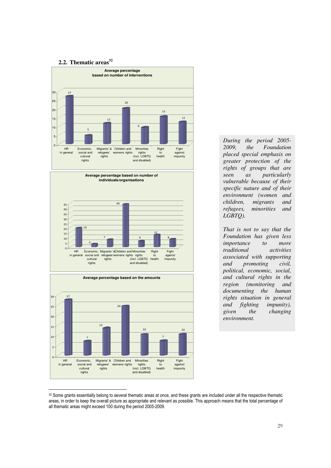### **2.2. Thematic areas<sup>32</sup>**



*During the period 2005- 2009, the Foundation placed special emphasis on greater protection of the rights of groups that are seen as particularly vulnerable because of their specific nature and of their environment (women and children, migrants and refugees, minorities and LGBTQ).* 

*That is not to say that the Foundation has given less importance to more traditional activities associated with supporting and promoting civil, political, economic, social, and cultural rights in the region (monitoring and documenting the human rights situation in general and fighting impunity), given the changing environment.*

<sup>-</sup>32 Some grants essentially belong to several thematic areas at once, and these grants are included under all the respective thematic areas, in order to keep the overall picture as appropriate and relevant as possible. This approach means that the total percentage of all thematic areas might exceed 100 during the period 2005-2009.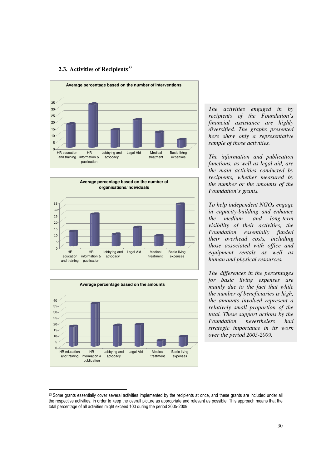### **2.3. Activities of Recipients<sup>33</sup>**







-

*The activities engaged in by recipients of the Foundation's financial assistance are highly diversified. The graphs presented here show only a representative sample of those activities.* 

*The information and publication functions, as well as legal aid, are the main activities conducted by recipients, whether measured by the number or the amounts of the Foundation's grants.* 

*To help independent NGOs engage in capacity-building and enhance the medium- and long-term visibility of their activities, the Foundation essentially funded their overhead costs, including those associated with office and equipment rentals as well as human and physical resources.* 

*The differences in the percentages for basic living expenses are mainly due to the fact that while the number of beneficiaries is high, the amounts involved represent a relatively small proportion of the total. These support actions by the Foundation nevertheless had strategic importance in its work over the period 2005-2009.* 

<sup>33</sup> Some grants essentially cover several activities implemented by the recipients at once, and these grants are included under all the respective activities, in order to keep the overall picture as appropriate and relevant as possible. This approach means that the total percentage of all activities might exceed 100 during the period 2005-2009.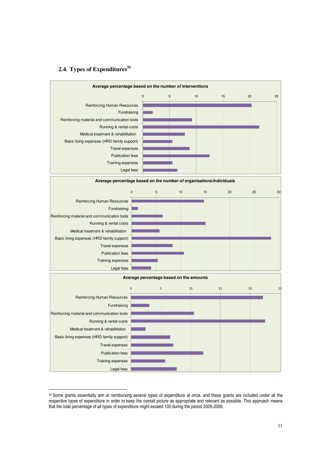# **2.4. Types of Expenditures<sup>34</sup>**

-



<sup>34</sup> Some grants essentially aim at reimbursing several types of expenditure at once, and these grants are included under all the respective types of expenditure in order to keep the overall picture as appropriate and relevant as possible. This approach means that the total percentage of all types of expenditure might exceed 100 during the period 2005-2009.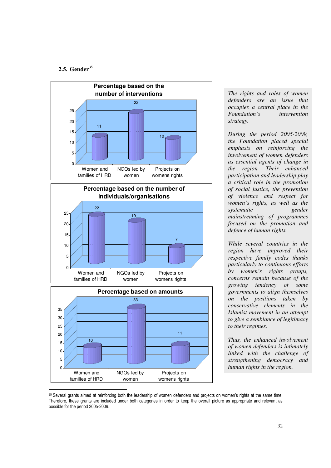### **2.5. Gender<sup>35</sup>**

-







*The rights and roles of women defenders are an issue that occupies a central place in the Foundation's intervention strategy.* 

*During the period 2005-2009, the Foundation placed special emphasis on reinforcing the involvement of women defenders as essential agents of change in the region. Their enhanced participation and leadership play a critical role in the promotion of social justice, the prevention of violence and respect for women's rights, as well as the systematic gender mainstreaming of programmes focused on the promotion and defence of human rights.* 

*While several countries in the region have improved their respective family codes thanks particularly to continuous efforts by women's rights groups, concerns remain because of the growing tendency of some governments to align themselves on the positions taken by conservative elements in the Islamist movement in an attempt to give a semblance of legitimacy to their regimes.* 

*Thus, the enhanced involvement of women defenders is intimately linked with the challenge of strengthening democracy and human rights in the region.* 

<sup>35</sup> Several grants aimed at reinforcing both the leadership of women defenders and projects on women's rights at the same time. Therefore, these grants are included under both categories in order to keep the overall picture as appropriate and relevant as possible for the period 2005-2009.